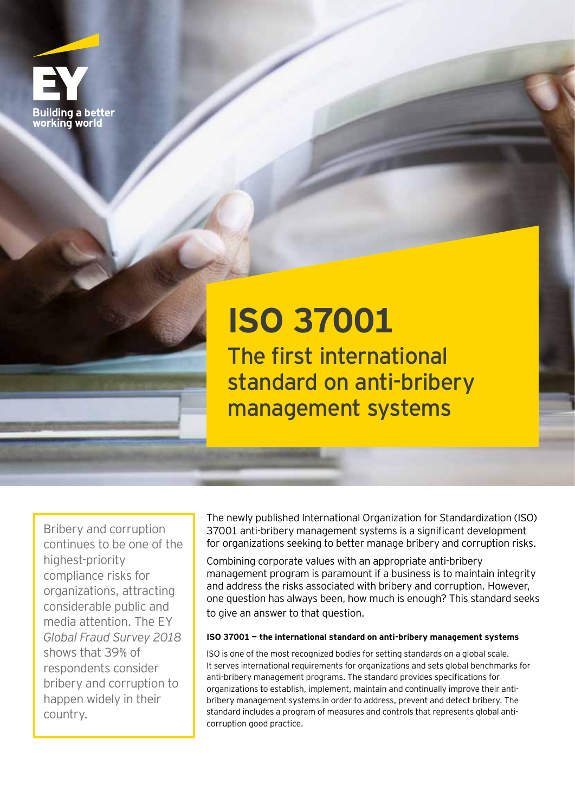

## **ISO 37001** The first international standard on anti-bribery management systems

Bribery and corruption continues to be one of the highest-priority compliance risks for organizations, attracting considerable public and media attention. The EY *Global Fraud Survey 2018*  shows that 39% of respondents consider bribery and corruption to happen widely in their country.

The newly published International Organization for Standardization (ISO) 37001 anti-bribery management systems is a significant development for organizations seeking to better manage bribery and corruption risks.

Combining corporate values with an appropriate anti-bribery management program is paramount if a business is to maintain integrity and address the risks associated with bribery and corruption. However, one question has always been, how much is enough? This standard seeks to give an answer to that question.

## **ISO 37001 — the international standard on anti-bribery management systems**

ISO is one of the most recognized bodies for setting standards on a global scale. It serves international requirements for organizations and sets global benchmarks for anti-bribery management programs. The standard provides specifications for organizations to establish, implement, maintain and continually improve their antibribery management systems in order to address, prevent and detect bribery. The standard includes a program of measures and controls that represents global anticorruption good practice.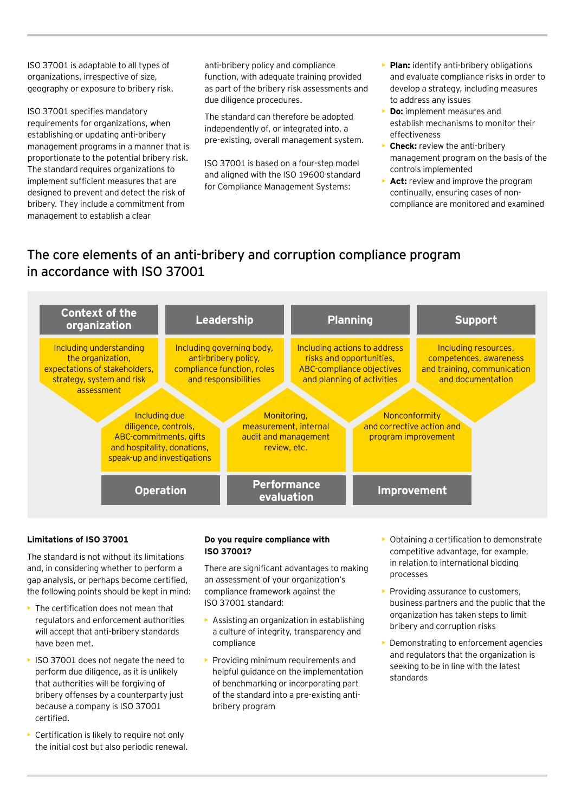ISO 37001 is adaptable to all types of organizations, irrespective of size, geography or exposure to bribery risk.

ISO 37001 specifies mandatory requirements for organizations, when establishing or updating anti-bribery management programs in a manner that is proportionate to the potential bribery risk. The standard requires organizations to implement sufficient measures that are designed to prevent and detect the risk of bribery. They include a commitment from management to establish a clear

anti-bribery policy and compliance function, with adequate training provided as part of the bribery risk assessments and due diligence procedures.

The standard can therefore be adopted independently of, or integrated into, a pre-existing, overall management system.

ISO 37001 is based on a four-step model and aligned with the ISO 19600 standard for Compliance Management Systems:

- **Plan:** identify anti-bribery obligations and evaluate compliance risks in order to develop a strategy, including measures to address any issues
- **Do:** implement measures and establish mechanisms to monitor their effectiveness
- **Check:** review the anti-bribery management program on the basis of the controls implemented
- Act: review and improve the program continually, ensuring cases of noncompliance are monitored and examined

## The core elements of an anti-bribery and corruption compliance program in accordance with ISO 37001



## **Limitations of ISO 37001**

The standard is not without its limitations and, in considering whether to perform a gap analysis, or perhaps become certified, the following points should be kept in mind:

- The certification does not mean that regulators and enforcement authorities will accept that anti-bribery standards have been met.
- ISO 37001 does not negate the need to perform due diligence, as it is unlikely that authorities will be forgiving of bribery offenses by a counterparty just because a company is ISO 37001 certified.
- Certification is likely to require not only the initial cost but also periodic renewal.

### **Do you require compliance with ISO 37001?**

There are significant advantages to making an assessment of your organization's compliance framework against the ISO 37001 standard:

- Assisting an organization in establishing a culture of integrity, transparency and compliance
- Providing minimum requirements and helpful guidance on the implementation of benchmarking or incorporating part of the standard into a pre-existing antibribery program
- Obtaining a certification to demonstrate competitive advantage, for example, in relation to international bidding processes
- Providing assurance to customers, business partners and the public that the organization has taken steps to limit bribery and corruption risks
- Demonstrating to enforcement agencies and regulators that the organization is seeking to be in line with the latest standards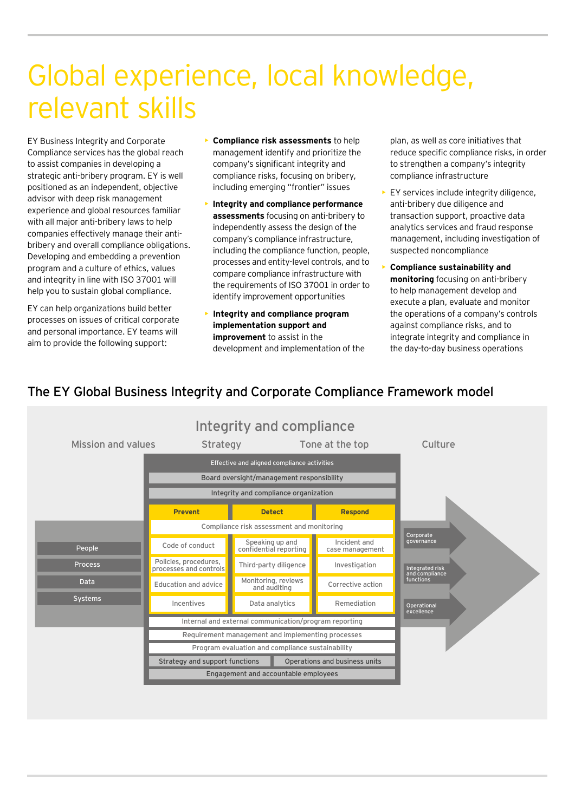# Global experience, local knowledge, relevant skills

EY Business Integrity and Corporate Compliance services has the global reach to assist companies in developing a strategic anti-bribery program. EY is well positioned as an independent, objective advisor with deep risk management experience and global resources familiar with all major anti-bribery laws to help companies effectively manage their antibribery and overall compliance obligations. Developing and embedding a prevention program and a culture of ethics, values and integrity in line with ISO 37001 will help you to sustain global compliance.

EY can help organizations build better processes on issues of critical corporate and personal importance. EY teams will aim to provide the following support:

- **Compliance risk assessments** to help management identify and prioritize the company's significant integrity and compliance risks, focusing on bribery, including emerging "frontier" issues
- **Integrity and compliance performance assessments** focusing on anti-bribery to independently assess the design of the company's compliance infrastructure, including the compliance function, people, processes and entity-level controls, and to compare compliance infrastructure with the requirements of ISO 37001 in order to identify improvement opportunities
- **Integrity and compliance program implementation support and improvement** to assist in the development and implementation of the

plan, as well as core initiatives that reduce specific compliance risks, in order to strengthen a company's integrity compliance infrastructure

- EY services include integrity diligence, anti-bribery due diligence and transaction support, proactive data analytics services and fraud response management, including investigation of suspected noncompliance
- **Compliance sustainability and monitoring** focusing on anti-bribery to help management develop and execute a plan, evaluate and monitor the operations of a company's controls against compliance risks, and to integrate integrity and compliance in the day-to-day business operations

## The EY Global Business Integrity and Corporate Compliance Framework model